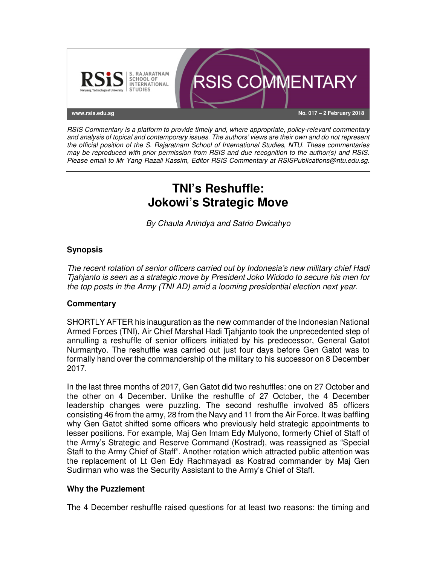

RSIS Commentary is a platform to provide timely and, where appropriate, policy-relevant commentary and analysis of topical and contemporary issues. The authors' views are their own and do not represent the official position of the S. Rajaratnam School of International Studies, NTU. These commentaries may be reproduced with prior permission from RSIS and due recognition to the author(s) and RSIS. Please email to Mr Yang Razali Kassim, Editor RSIS Commentary at RSISPublications@ntu.edu.sg.

# **TNI's Reshuffle: Jokowi's Strategic Move**

By Chaula Anindya and Satrio Dwicahyo

## **Synopsis**

The recent rotation of senior officers carried out by Indonesia's new military chief Hadi Tjahjanto is seen as a strategic move by President Joko Widodo to secure his men for the top posts in the Army (TNI AD) amid a looming presidential election next year.

## **Commentary**

SHORTLY AFTER his inauguration as the new commander of the Indonesian National Armed Forces (TNI), Air Chief Marshal Hadi Tjahjanto took the unprecedented step of annulling a reshuffle of senior officers initiated by his predecessor, General Gatot Nurmantyo. The reshuffle was carried out just four days before Gen Gatot was to formally hand over the commandership of the military to his successor on 8 December 2017.

In the last three months of 2017, Gen Gatot did two reshuffles: one on 27 October and the other on 4 December. Unlike the reshuffle of 27 October, the 4 December leadership changes were puzzling. The second reshuffle involved 85 officers consisting 46 from the army, 28 from the Navy and 11 from the Air Force. It was baffling why Gen Gatot shifted some officers who previously held strategic appointments to lesser positions. For example, Maj Gen Imam Edy Mulyono, formerly Chief of Staff of the Army's Strategic and Reserve Command (Kostrad), was reassigned as "Special Staff to the Army Chief of Staff". Another rotation which attracted public attention was the replacement of Lt Gen Edy Rachmayadi as Kostrad commander by Maj Gen Sudirman who was the Security Assistant to the Army's Chief of Staff.

## **Why the Puzzlement**

The 4 December reshuffle raised questions for at least two reasons: the timing and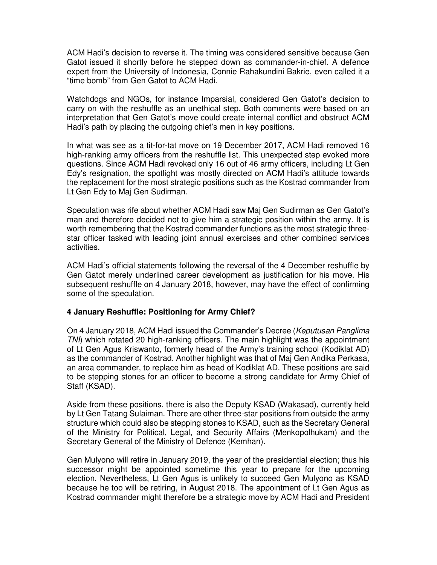ACM Hadi's decision to reverse it. The timing was considered sensitive because Gen Gatot issued it shortly before he stepped down as commander-in-chief. A defence expert from the University of Indonesia, Connie Rahakundini Bakrie, even called it a "time bomb" from Gen Gatot to ACM Hadi.

Watchdogs and NGOs, for instance Imparsial, considered Gen Gatot's decision to carry on with the reshuffle as an unethical step. Both comments were based on an interpretation that Gen Gatot's move could create internal conflict and obstruct ACM Hadi's path by placing the outgoing chief's men in key positions.

In what was see as a tit-for-tat move on 19 December 2017, ACM Hadi removed 16 high-ranking army officers from the reshuffle list. This unexpected step evoked more questions. Since ACM Hadi revoked only 16 out of 46 army officers, including Lt Gen Edy's resignation, the spotlight was mostly directed on ACM Hadi's attitude towards the replacement for the most strategic positions such as the Kostrad commander from Lt Gen Edy to Maj Gen Sudirman.

Speculation was rife about whether ACM Hadi saw Maj Gen Sudirman as Gen Gatot's man and therefore decided not to give him a strategic position within the army. It is worth remembering that the Kostrad commander functions as the most strategic threestar officer tasked with leading joint annual exercises and other combined services activities.

ACM Hadi's official statements following the reversal of the 4 December reshuffle by Gen Gatot merely underlined career development as justification for his move. His subsequent reshuffle on 4 January 2018, however, may have the effect of confirming some of the speculation.

#### **4 January Reshuffle: Positioning for Army Chief?**

On 4 January 2018, ACM Hadi issued the Commander's Decree (Keputusan Panglima TNI) which rotated 20 high-ranking officers. The main highlight was the appointment of Lt Gen Agus Kriswanto, formerly head of the Army's training school (Kodiklat AD) as the commander of Kostrad. Another highlight was that of Maj Gen Andika Perkasa, an area commander, to replace him as head of Kodiklat AD. These positions are said to be stepping stones for an officer to become a strong candidate for Army Chief of Staff (KSAD).

Aside from these positions, there is also the Deputy KSAD (Wakasad), currently held by Lt Gen Tatang Sulaiman. There are other three-star positions from outside the army structure which could also be stepping stones to KSAD, such as the Secretary General of the Ministry for Political, Legal, and Security Affairs (Menkopolhukam) and the Secretary General of the Ministry of Defence (Kemhan).

Gen Mulyono will retire in January 2019, the year of the presidential election; thus his successor might be appointed sometime this year to prepare for the upcoming election. Nevertheless, Lt Gen Agus is unlikely to succeed Gen Mulyono as KSAD because he too will be retiring, in August 2018. The appointment of Lt Gen Agus as Kostrad commander might therefore be a strategic move by ACM Hadi and President